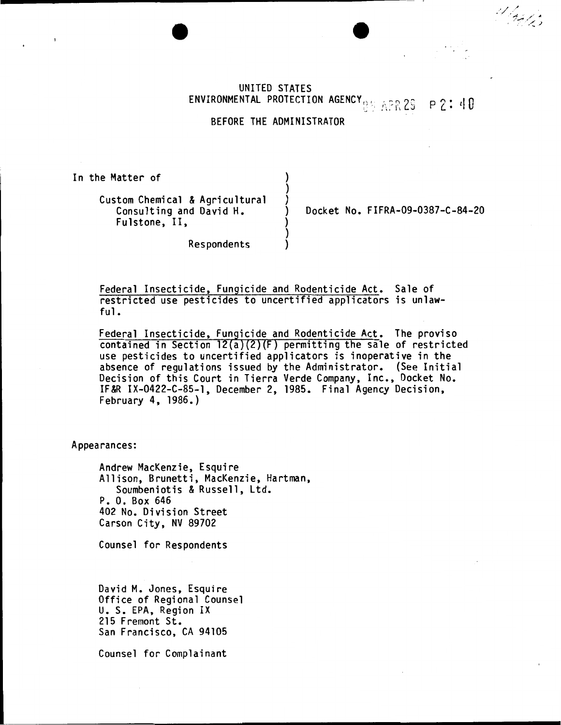UNITED STATES ENVIRONMENTAL PROTECTION AGENCY<sub>RE APR</sub> 29 p 2: 40

BEFORE THE ADMINISTRATOR

) ) )

) ) )

In the Matter of

Custom Chemical & Agricultural Consulting and David H. Fulstone, II,

) Docket No. FIFRA-09-0387-C-84-20

d laghts

Respondents

Federal Insecticide, Fungicide and Rodenticide Act. Sale of restricted use pesticides to uncertified applicators is unlawful.

Federal Insecticide, Fungicide and Rodenticide Act. The proviso contained in Section  $12(a)(2)(F)$  permitting the sale of restricted use pesticides to uncertified applicators is inoperative in the absence of regulations issued by the Administrator. (See Initial Decision of this Court in Tierra Verde Company, Inc., Docket No. IF&R IX-0422-C-85-1, December 2, 1985. Final Agency Decision, February 4, 1986.)

Appearances:

Andrew MacKenzie, Esquire Allison, Brunetti, MacKenzie, Hartman, Soumbeniotis & Russell, Ltd. P. 0. Box 646 402 No. Division Street Carson City, NV 89702

Counsel for Respondents

David M. Jones, Esquire<br>Office of Regional Counsel U. S. EPA, Region IX 215 Fremont St. San Francisco, CA 94105

Counsel for Complainant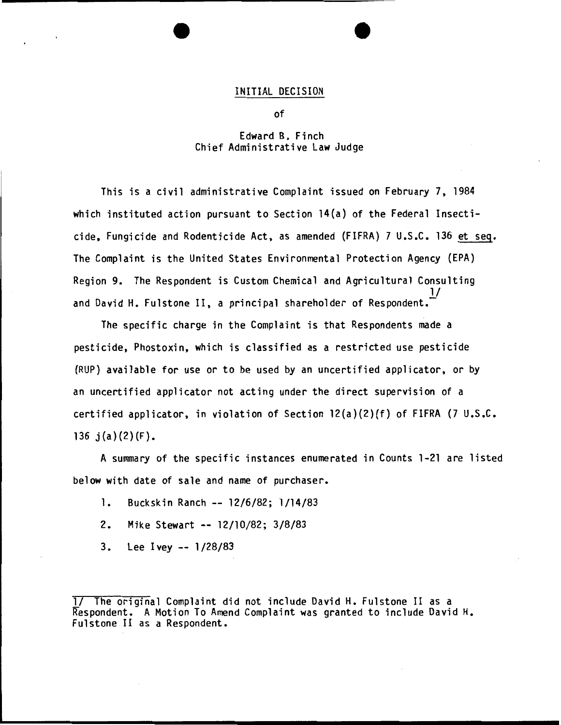## INITIAL DECISION

of

## Edward B. Finch Chief Administrative Law Judge

This is a civil administrative Complaint issued on February 7, 1984 which instituted action pursuant to Section 14(a) of the Federal Insecticide, Fungicide and Rodenticide Act, as amended (FIFRA) 7 U.S.C. 136 et seq. The Complaint is the United States Environmental Protection Agency (EPA) Region 9. The Respondent is Custom Chemical and Agricultural Consulting  $\underline{\mathsf{I}}$ and David H. Fulstone II, a principal shareholder of Respondent.

The specific charge in the Complaint is that Respondents made a pesticide, Phostoxin, which is classified as a restricted use pesticide (RUP) available for use or to be used by an uncertified applicator, or by an uncertified applicator not acting under the direct supervision of a certified applicator, in violation of Section 12(a)(2)(f) of FIFRA (7 U.S.C. 136  $j(a)(2)(F)$ .

A summary of the specific instances enumerated in Counts 1-21 are listed below with date of sale and name of purchaser.

- 1. Buckskin Ranch -- 12/6/82; 1/14/83
- 2. Mike Stewart -- 12/10/82; 3/8/83
- 3. Lee Ivey -- 1/28/83

<sup>1/</sup> The original Complaint did not include David H. Fulstone II as a Respondent. A Motion To Amend Complaint was granted to include David H. Fulstone II as a Respondent.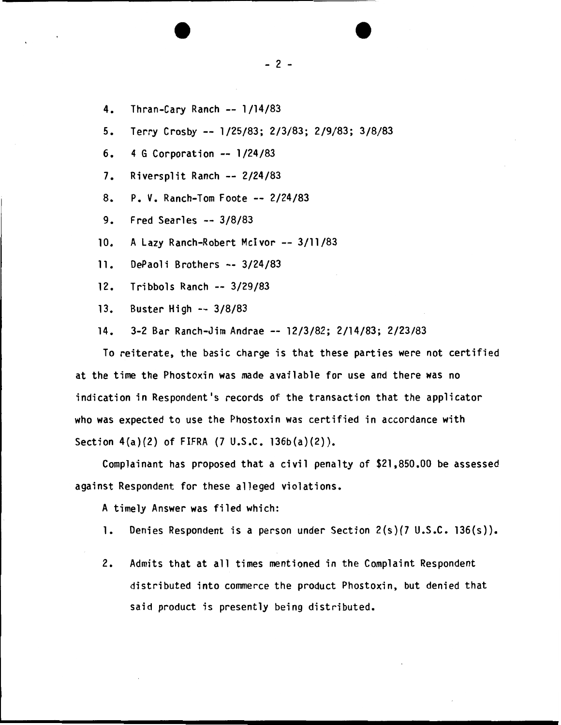- 4. Thran-Cary Ranch -- 1/14/83
- 5. Terry Crosby -- 1/25/83; 2/3/83; 2/9/83; 3/8/83
- 6. 4 G Corporation -- 1/24/83
- 7. Riversplit Ranch-- 2/24/83
- 8. P. v. Ranch-Tom Foote -- 2/24/83
- 9. Fred Searles -- 3/8/83
- 10. A Lazy Ranch-Robert McIvor -- 3/11/83
- 11. DePaoli Brothers -- 3/24/83
- 12. Tribbols Ranch -- 3/29/83
- 13. Buster High -- 3/8/83
- 14. 3-2 Bar Ranch-Jim Andrae -- 12/3/82; 2/14/83; 2/23/83

To reiterate, the basic charge is that these parties were not certified at the time the Phostoxin was made available for use and there was no indication in Respondent's records of the transaction that the applicator who was expected to use the Phostoxin was certified in accordance with Section  $4(a)(2)$  of FIFRA  $(7 \cup .5 \cup .7 \cup .5 \cup (a)(2))$ .

Complainant has proposed that a civil penalty of \$21,850.00 be assessed against Respondent for these alleged violations.

A timely Answer was filed which:

- 1. Denies Respondent is a person under Section 2(s)(7 U.S.C. 136(s)).
- 2. Admits that at all times mentioned in the Complaint Respondent distributed into commerce the product Phostoxin, but denied that said product is presently being distributed.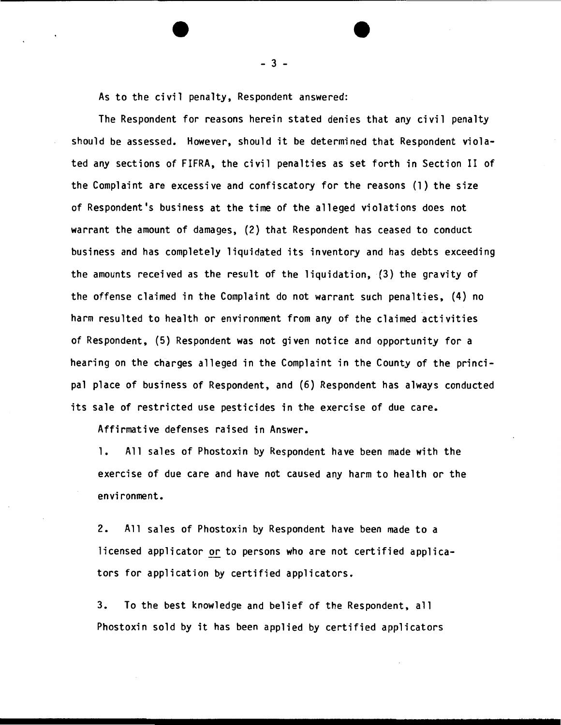As to the civil penalty, Respondent answered:

The Respondent for reasons herein stated denies that any civil penalty should be assessed. However, should it be determined that Respondent violated any sections of FIFRA, the civil penalties as set forth in Section II of the Complaint are excessive and confiscatory for the reasons (1) the size of Respondent's business at the time of the alleged violations does not warrant the amount of damages, (2) that Respondent has ceased to conduct business and has completely liquidated its inventory and has debts exceeding the amounts received as the result of the liquidation, (3) the gravity of the offense claimed in the Complaint do not warrant such penalties, (4) no harm resulted to health or environment from any of the claimed activities of Respondent, (5) Respondent was not given notice and opportunity for a hearing on the charges alleged in the Complaint in the County of the principal place of business of Respondent, and (6) Respondent has always conducted its sale of restricted use pesticides in the exercise of due care.

Affirmative defenses raised in Answer.

1. All sales of Phostoxin by Respondent have been made with the exercise of due care and have not caused any harm to health or the environment.

2. All sales of Phostoxin by Respondent have been made to a licensed applicator or to persons who are not certified applicators for application by certified applicators.

3. To the best knowledge and belief of the Respondent, all Phostoxin sold by it has been applied by certified applicators

- 3 -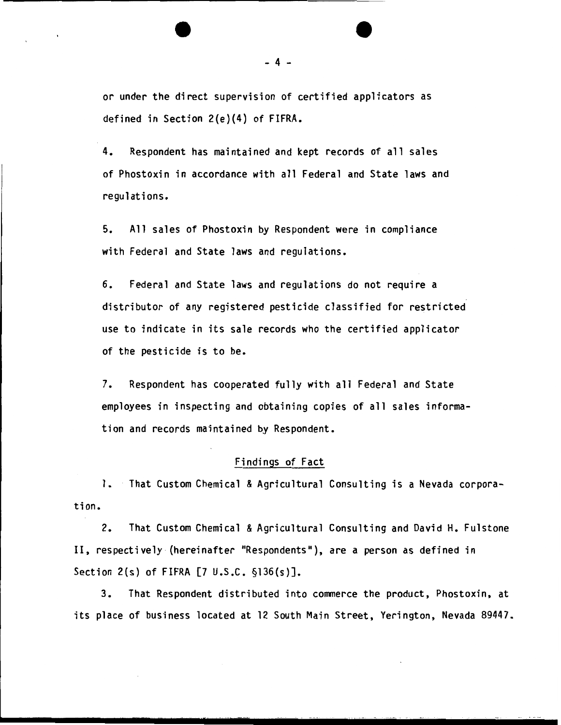or under the direct supervision of certified applicators as defined in Section 2(e)(4} of FIFRA.

4. Respondent has maintained and kept records of all sales of Phostoxin in accordance with all Federal and State laws and regulations.

5. All sales of Phostoxin by Respondent were in compliance with Federal and State laws and regulations.

6. Federal and State laws and regulations do not require a distributor of any registered pesticide classified for restricted use to indicate in its sale records who the certified applicator of the pesticide is to be.

7. Respondent has cooperated fully with all Federal and State employees in inspecting and obtaining copies of all sales information and records maintained by Respondent.

#### Findings of Fact

tion. 1. That Custom Chemical & Agricultural Consulting is a Nevada corpora-

2. That Custom Chemical & Agricultural Consulting and David H. Fulstone II, respectively (hereinafter "Respondents"), are a person as defined in Section 2(s) of FIFRA [7 U.S.C. §136(s)].

3. That Respondent distributed into commerce the product, Phostoxin, at its place of business located at 12 South Main Street, Yerington, Nevada 89447.

- 4 -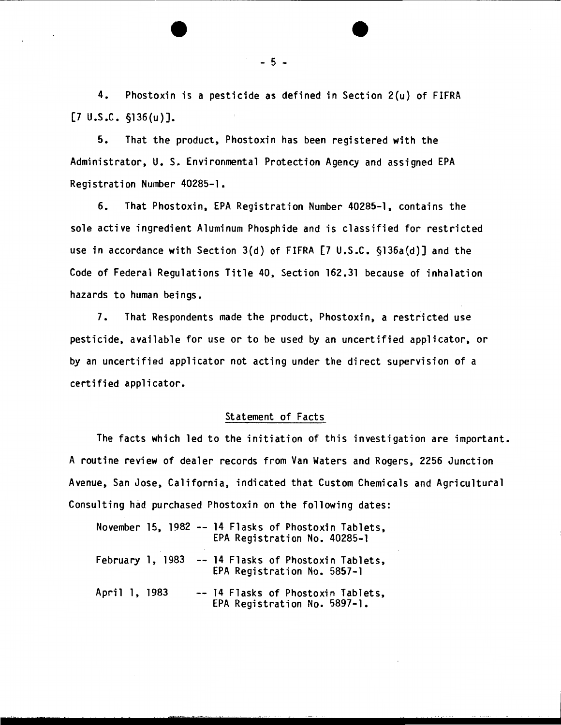4. Phostoxin is a pesticide as defined in Section 2(u) of FIFRA  $[7 \cup .S.C. \S136(u)].$ 

5. That the product, Phostoxin has been registered with the Administrator, U. S. Environmental Protection Agency and assigned EPA Registration Number 40285-1.

6. That Phostoxin, EPA Registration Number 40285-1, contains the sole active ingredient Aluminum Phosphide and is classified for restricted use in accordance with Section 3(d) of FIFRA [7 U.S.C. §136a(d)] and the Code of Federal Regulations Title 40, Section 162.31 because of inhalation hazards to human beings.

7. That Respondents made the product, Phostoxin, a restricted use pesticide, available for use or to be used by an uncertified applicator, or by an uncertified applicator not acting under the direct supervision of a certified applicator.

#### Statement of Facts

The facts which led to the initiation of this investigation are important. A routine review of dealer records from Van Waters and Rogers, 2256 Junction Avenue, San Jose, California, indicated that Custom Chemicals and Agricultural Consulting had purchased Phostoxin on the following dates:

|                  |  | November 15, 1982 -- 14 Flasks of Phostoxin Tablets,<br>EPA Registration No. 40285-1 |
|------------------|--|--------------------------------------------------------------------------------------|
| February 1, 1983 |  | -- 14 Flasks of Phostoxin Tablets,<br>EPA Registration No. 5857-1                    |
| April 1, 1983    |  | -- 14 Flasks of Phostoxin Tablets,<br>EPA Registration No. 5897-1.                   |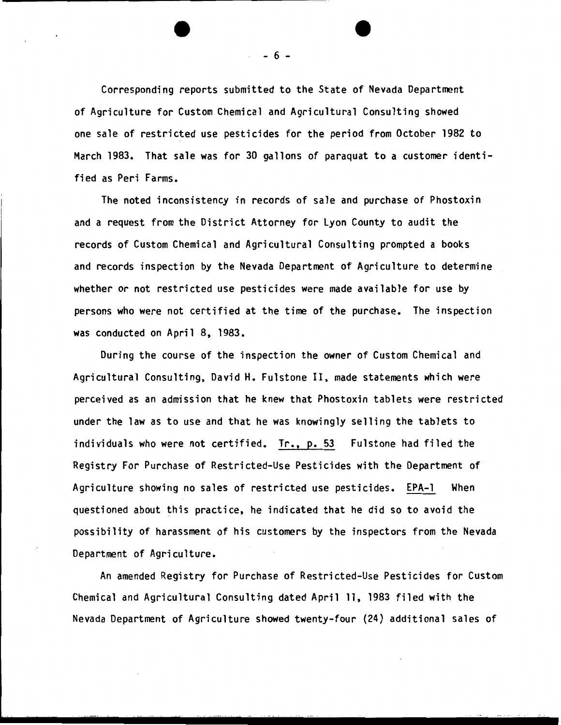Corresponding reports submitted to the State of Nevada Department of Agriculture for Custom Chemical and Agricultural Consulting showed one sale of restricted use pesticides for the period from October 1982 to March 1983. That sale was for 30 gallons of paraquat to a customer identified as Peri Farms.

The noted inconsistency in records of sale and purchase of Phostoxin and a request from the District Attorney for lyon County to audit the records of Custom Chemical and Agricultural Consulting prompted a books and records inspection by the Nevada Department of Agriculture to determine whether or not restricted use pesticides were made available for use by persons who were not certified at the time of the purchase. The inspection was conducted on April 8, 1983.

During the course of the inspection the owner of Custom Chemical and Agricultural Consulting, David H. Fulstone II, made statements which were perceived as an admission that he knew that Phostoxin tablets were restricted under the law as to use and that he was knowingly selling the tablets to individuals who were not certified. Tr., p. 53 Fulstone had filed the Registry For Purchase of Restricted-Use Pesticides with the Department of Agriculture showing no sales of restricted use pesticides. EPA-1 When questioned about this practice, he indicated that he did so to avoid the possibility of harassment of his customers by the inspectors from the Nevada Department of Agriculture.

An amended Registry for Purchase of Restricted-Use Pesticides for Custom Chemical and Agricultural Consulting dated April 11, 1983 filed with the Nevada Department of Agriculture showed twenty-four (24) additional sales of

 $- 6 -$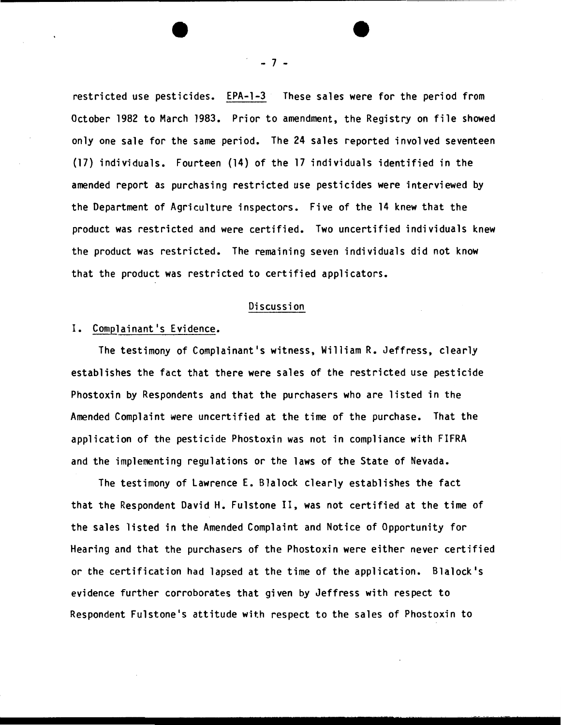restricted use pesticides. EPA-1-3 These sales were for the period from October 1982 to March 1983. Prior to amendment, the Registry on file showed only one sale for the same period. The 24 sales reported involved seventeen (17) individuals. Fourteen (14) of the 17 individuals identified in the amended report as purchasing restricted use pesticides were interviewed by the Department of Agriculture inspectors. Five of the 14 knew that the product was restricted and were certified. Two uncertified individuals knew the product was restricted. The remaining seven individuals did not know that the product was restricted to certified applicators.

#### Discussion

# I. Complainant's Evidence.

The testimony of Complainant's witness, William R. Jeffress, clearly establishes the fact that there were sales of the restricted use pesticide Phostoxin by Respondents and that the purchasers who are listed in the Amended Complaint were uncertified at the time of the purchase. That the application of the pesticide Phostoxin was not in compliance with FIFRA and the implementing regulations or the laws of the State of Nevada.

The testimony of Lawrence E. Blalock clearly establishes the fact that the Respondent David H. Fulstone II, was not certified at the time of the sales listed in the Amended Complaint and Notice of Opportunity for Hearing and that the purchasers of the Phostoxin were either never certified or the certification had lapsed at the time of the application. Blalock's evidence further corroborates that given by Jeffress with respect to Respondent Fulstone's attitude with respect to the sales of Phostoxin to

- *1* -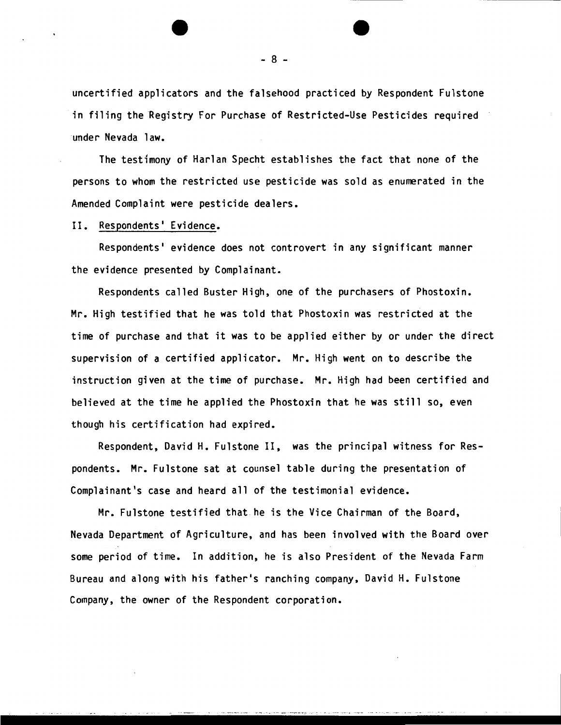uncertified applicators and the falsehood practiced by Respondent Fulstone in filing the Registry For Purchase of Restricted-Use Pesticides required under Nevada law.

The testimony of Harlan Specht establishes the fact that none of the persons to whom the restricted use pesticide was sold as enumerated in the Amended Complaint were pesticide dealers.

II. Respondents' Evidence.

Respondents' evidence does not controvert in any significant manner the evidence presented by Complainant.

Respondents called Buster High, one of the purchasers of Phostoxin. Mr. High testified that he was told that Phostoxin was restricted at the time of purchase and that it was to be applied either by or under the direct supervision of a certified applicator. Mr. High went on to describe the instruction given at the time of purchase. Mr. High had been certified and believed at the time he applied the Phostoxin that he was still so, even though his certification had expired.

Respondent, David H. Fulstone II, was the principal witness for Respondents. Mr. Fulstone sat at counsel table during the presentation of Complainant's case and heard all of the testimonial evidence.

Mr. Fulstone testified that he is the Vice Chairman of the Board, Nevada Department of Agriculture, and has been involved with the Board over some period of time. In addition, he is also President of the Nevada Farm Bureau and along with his father's ranching company, David H. Fulstone Company, the owner of the Respondent corporation.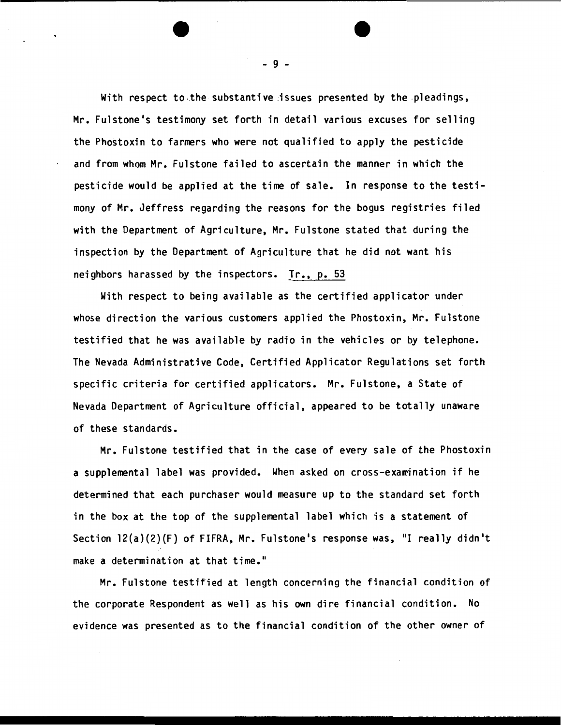With respect to the substantive issues presented by the pleadings, Mr. Fulstone's testimony set forth in detail various excuses for selling the Phostoxin to farmers who were not qualified to apply the pesticide and from whom Mr. Fulstone failed to ascertain the manner in which the pesticide would be applied at the time of sale. In response to the testimony of Mr. Jeffress regarding the reasons for the bogus registries filed with the Department of Agriculture, Mr. Fulstone stated that during the inspection by the Department of Agriculture that he did not want his neighbors harassed by the inspectors. Tr., p. 53

With respect to being available as the certified applicator under whose direction the various customers applied the Phostoxin, Mr. Fulstone testified that he was available by radio in the vehicles or by telephone. The Nevada Administrative Code, Certified Applicator Regulations set forth specific criteria for certified applicators. Mr. Fulstone, a State of Nevada Department of Agriculture official, appeared to be totally unaware of these standards.

Mr. Fulstone testified that in the case of every sale of the Phostoxin a supplemental label was provided. When asked on cross-examination if he determined that each purchaser would measure up to the standard set forth in the box at the top of the supplemental label which is a statement of Section  $12(a)(2)(F)$  of FIFRA, Mr. Fulstone's response was, "I really didn't make a determination at that time."

Mr. Fulstone testified at length concerning the financial condition of the corporate Respondent as well as his own dire financial condition. No evidence was presented as to the financial condition of the other owner of

- 9 -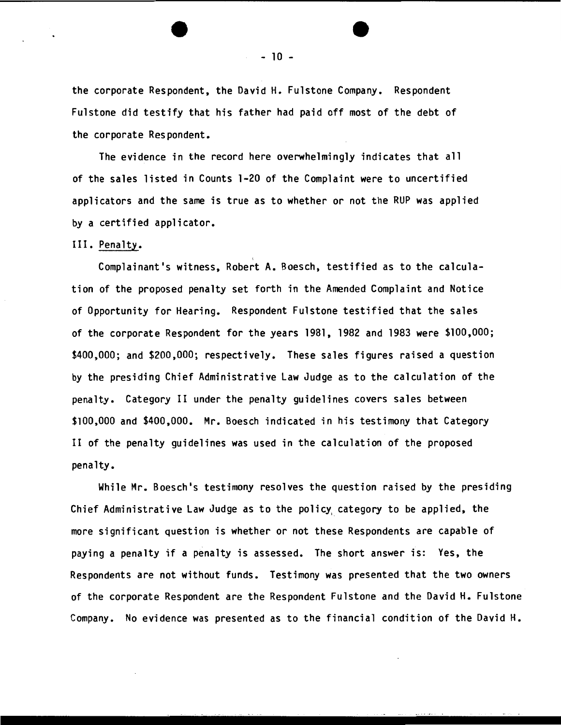the corporate Respondent, the David H. Fulstone Company. Respondent Fulstone did testify that his father had paid off most of the debt of the corporate Respondent.

 $\mathcal{L}^{\text{max}}$ 

The evidence in the record here overwhelmingly indicates that all of the sales listed in Counts 1-20 of the Complaint were to uncertified applicators and the same is true as to whether or not the RUP was applied by a certified applicator.

#### III. Penalty.

Complainant's witness, Robert A. Boesch, testified as to the calculation of the proposed penalty set forth in the Amended Complaint and Notice of Opportunity for Hearing. Respondent Fulstone testified that the sales of the corporate Respondent for the years 1981, 1982 and 1983 were \$100,000; \$400,000; and \$200,000; respectively. These sales figures raised a question by the presiding Chief Administrative law Judge as to the calculation of the penalty. Category II under the penalty guidelines covers sales between \$100,000 and \$400,000. Mr. Boesch indicated in his testimony that Category II of the penalty guidelines was used in the calculation of the proposed penalty.

While Mr. Boesch's testimony resolves the question raised by the presiding Chief Administrative law Judge as to the policy, category to be applied, the more significant question is whether or not these Respondents are capable of paying a penalty if a penalty is assessed. The short answer is: Yes, the Respondents are not without funds. Testimony was presented that the two owners of the corporate Respondent are the Respondent Fulstone and the David H. Fulstone Company. No evidence was presented as to the financial condition of the David H.

- 10 -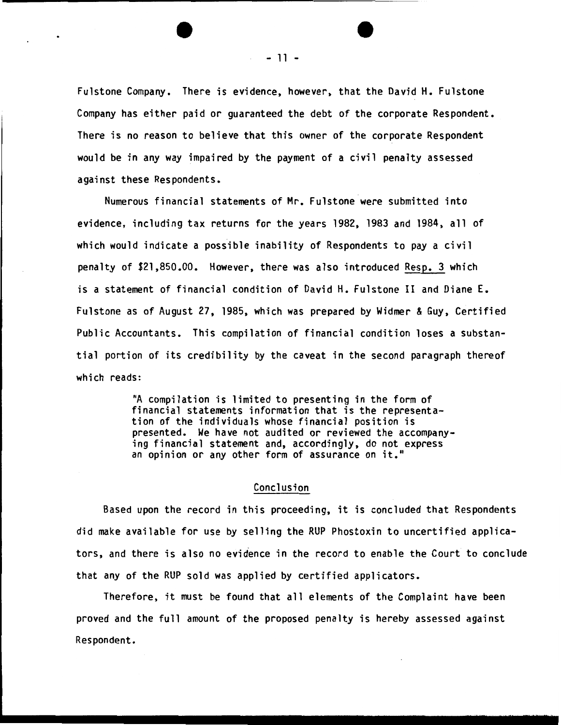Fulstone Company. There is evidence, however, that the David H. Fulstone Company has either paid or guaranteed the debt of the corporate Respondent. There is no reason to believe that this owner of the corporate Respondent would be in any way impaired by the payment of a civil penalty assessed against these Respondents.

Numerous financial statements of Mr. Fulstone were submitted into evidence, including tax returns for the years 1982, 1983 and 1984, all of which would indicate a possible inability of Respondents to pay a civil penalty of \$21,850.00. However, there was also introduced Resp. 3 which is a statement of financial condition of David H. Fulstone II and Diane E. Fulstone as of August 27, 1985, which was prepared by Widmer & Guy, Certified Public Accountants. This compilation of financial condition loses a substantial portion of its credibility by the caveat in the second paragraph thereof which reads:

> "A compilation is limited to presenting in the form of financial statements information that is the representation of the individuals whose financial position is presented. We have not audited or reviewed the accompanying financial statement and, accordingly, do not express an opinion or any other form of assurance on it."

## Conclusion

Based upon the record in this proceeding, it is concluded that Respondents did make available for use by selling the RUP Phostoxin to uncertified applicators, and there is also no evidence in the record to enable the Court to conclude that any of the RUP sold was applied by certified applicators.

Therefore, it must be found that all elements of the Complaint have been proved and the full amount of the proposed penalty is hereby assessed against Respondent.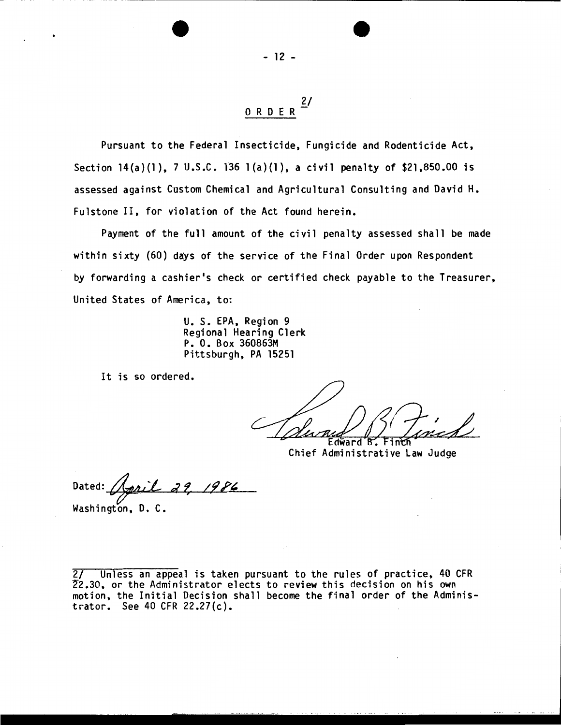Pursuant to the Federal Insecticide, Fungicide and Rodenticide Act, Section 14(a)(1), 7 U.S.C. 136 1(a)(1), a civil penalty of \$21,850.00 is assessed against Custom Chemical and Agricultural Consulting and David H. Fulstone II, for violation of the Act found herein.

Payment of the full amount of the civil penalty assessed shall be made within sixty (60) days of the service of the Final Order upon Respondent by forwarding a cashier's check or certified check payable to the Treasurer, United States of America, to:

> U. S. EPA, Region 9 Regional Hearing Clerk P. 0. Box 360863M Pittsburgh, PA 15251

It is so ordered.

R

Edward Chief Administrative Law Judge

Dated: April 29,

Washington, D. C.

2/ Unless an appeal is taken pursuant to the rules of practice, 40 CFR 22.30, or the Administrator elects to review this decision on his own motion, the Initial Decision shall become the final order of the Administrator. See 40 CFR 22.27(c).